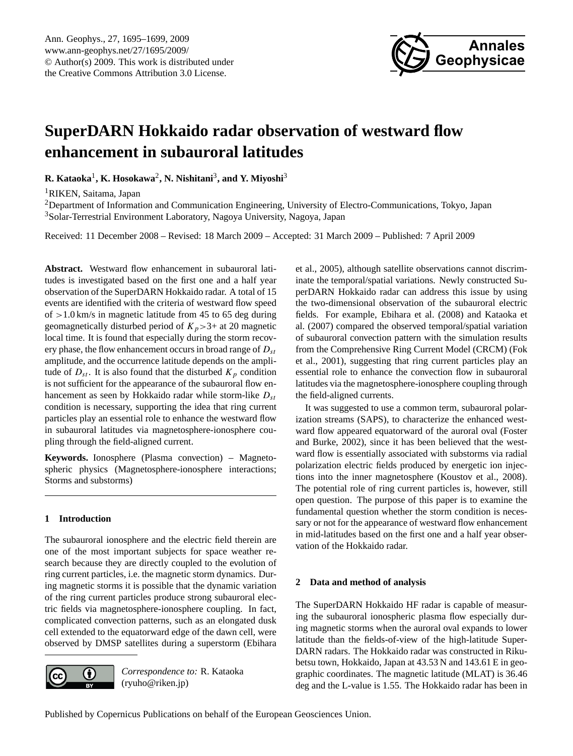

# <span id="page-0-0"></span>**SuperDARN Hokkaido radar observation of westward flow enhancement in subauroral latitudes**

**R. Kataoka**<sup>1</sup> **, K. Hosokawa**<sup>2</sup> **, N. Nishitani**<sup>3</sup> **, and Y. Miyoshi**<sup>3</sup>

<sup>1</sup>RIKEN, Saitama, Japan

<sup>2</sup>Department of Information and Communication Engineering, University of Electro-Communications, Tokyo, Japan <sup>3</sup>Solar-Terrestrial Environment Laboratory, Nagoya University, Nagoya, Japan

Received: 11 December 2008 – Revised: 18 March 2009 – Accepted: 31 March 2009 – Published: 7 April 2009

**Abstract.** Westward flow enhancement in subauroral latitudes is investigated based on the first one and a half year observation of the SuperDARN Hokkaido radar. A total of 15 events are identified with the criteria of westward flow speed of  $>1.0$  km/s in magnetic latitude from 45 to 65 deg during geomagnetically disturbed period of  $K_p > 3+$  at 20 magnetic local time. It is found that especially during the storm recovery phase, the flow enhancement occurs in broad range of  $D_{st}$ amplitude, and the occurrence latitude depends on the amplitude of  $D_{st}$ . It is also found that the disturbed  $K_p$  condition is not sufficient for the appearance of the subauroral flow enhancement as seen by Hokkaido radar while storm-like  $D_{st}$ condition is necessary, supporting the idea that ring current particles play an essential role to enhance the westward flow in subauroral latitudes via magnetosphere-ionosphere coupling through the field-aligned current.

**Keywords.** Ionosphere (Plasma convection) – Magnetospheric physics (Magnetosphere-ionosphere interactions; Storms and substorms)

## **1 Introduction**

The subauroral ionosphere and the electric field therein are one of the most important subjects for space weather research because they are directly coupled to the evolution of ring current particles, i.e. the magnetic storm dynamics. During magnetic storms it is possible that the dynamic variation of the ring current particles produce strong subauroral electric fields via magnetosphere-ionosphere coupling. In fact, complicated convection patterns, such as an elongated dusk cell extended to the equatorward edge of the dawn cell, were observed by DMSP satellites during a superstorm (Ebihara



*Correspondence to:* R. Kataoka (ryuho@riken.jp)

et al., 2005), although satellite observations cannot discriminate the temporal/spatial variations. Newly constructed SuperDARN Hokkaido radar can address this issue by using the two-dimensional observation of the subauroral electric fields. For example, Ebihara et al. (2008) and Kataoka et al. (2007) compared the observed temporal/spatial variation of subauroral convection pattern with the simulation results from the Comprehensive Ring Current Model (CRCM) (Fok et al., 2001), suggesting that ring current particles play an essential role to enhance the convection flow in subauroral latitudes via the magnetosphere-ionosphere coupling through the field-aligned currents.

It was suggested to use a common term, subauroral polarization streams (SAPS), to characterize the enhanced westward flow appeared equatorward of the auroral oval (Foster and Burke, 2002), since it has been believed that the westward flow is essentially associated with substorms via radial polarization electric fields produced by energetic ion injections into the inner magnetosphere (Koustov et al., 2008). The potential role of ring current particles is, however, still open question. The purpose of this paper is to examine the fundamental question whether the storm condition is necessary or not for the appearance of westward flow enhancement in mid-latitudes based on the first one and a half year observation of the Hokkaido radar.

## **2 Data and method of analysis**

The SuperDARN Hokkaido HF radar is capable of measuring the subauroral ionospheric plasma flow especially during magnetic storms when the auroral oval expands to lower latitude than the fields-of-view of the high-latitude Super-DARN radars. The Hokkaido radar was constructed in Rikubetsu town, Hokkaido, Japan at 43.53 N and 143.61 E in geographic coordinates. The magnetic latitude (MLAT) is 36.46 deg and the L-value is 1.55. The Hokkaido radar has been in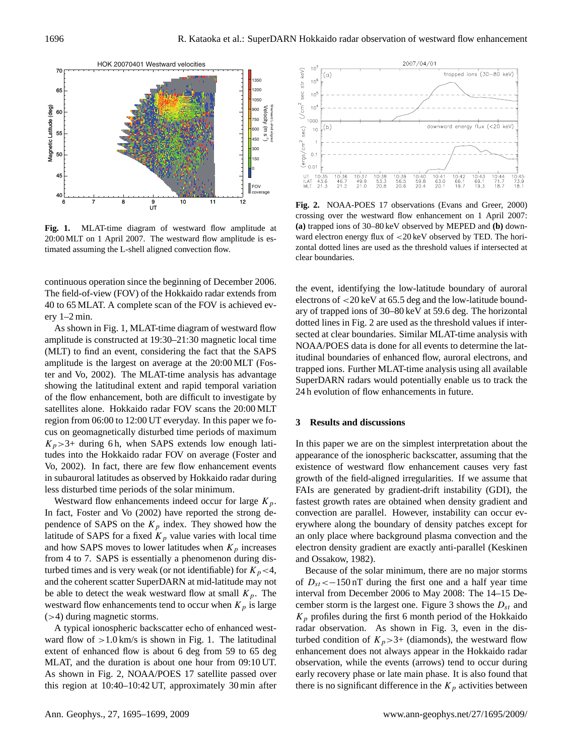

Fig. 1. MLAT-time diagram of westward flow amplitude at 20:00 MLT on 1 April 2007. The westward flow amplitude is estimated assuming the L-shell aligned convection flow.

continuous operation since the beginning of December 2006. The field-of-view (FOV) of the Hokkaido radar extends from 40 to 65 MLAT. A complete scan of the FOV is achieved every 1–2 min.

As shown in Fig. 1, MLAT-time diagram of westward flow amplitude is constructed at 19:30–21:30 magnetic local time (MLT) to find an event, considering the fact that the SAPS amplitude is the largest on average at the 20:00 MLT (Foster and Vo, 2002). The MLAT-time analysis has advantage showing the latitudinal extent and rapid temporal variation of the flow enhancement, both are difficult to investigate by satellites alone. Hokkaido radar FOV scans the 20:00 MLT region from 06:00 to 12:00 UT everyday. In this paper we focus on geomagnetically disturbed time periods of maximum  $K_p$ >3+ during 6 h, when SAPS extends low enough latitudes into the Hokkaido radar FOV on average (Foster and Vo, 2002). In fact, there are few flow enhancement events in subauroral latitudes as observed by Hokkaido radar during less disturbed time periods of the solar minimum.

Westward flow enhancements indeed occur for large  $K_p$ . In fact, Foster and Vo (2002) have reported the strong dependence of SAPS on the  $K_p$  index. They showed how the latitude of SAPS for a fixed  $K_p$  value varies with local time and how SAPS moves to lower latitudes when  $K_p$  increases from 4 to 7. SAPS is essentially a phenomenon during disturbed times and is very weak (or not identifiable) for  $K_p < 4$ , and the coherent scatter SuperDARN at mid-latitude may not be able to detect the weak westward flow at small  $K_p$ . The westward flow enhancements tend to occur when  $K_p$  is large (>4) during magnetic storms.

A typical ionospheric backscatter echo of enhanced westward flow of  $>1.0$  km/s is shown in Fig. 1. The latitudinal extent of enhanced flow is about 6 deg from 59 to 65 deg MLAT, and the duration is about one hour from 09:10 UT. As shown in Fig. 2, NOAA/POES 17 satellite passed over this region at 10:40–10:42 UT, approximately 30 min after



**Fig. 2.** NOAA-POES 17 observations (Evans and Greer, 2000) crossing over the westward flow enhancement on 1 April 2007: **(a)** trapped ions of 30–80 keV observed by MEPED and **(b)** downward electron energy flux of <20 keV observed by TED. The horizontal dotted lines are used as the threshold values if intersected at clear boundaries.

the event, identifying the low-latitude boundary of auroral electrons of <20 keV at 65.5 deg and the low-latitude boundary of trapped ions of 30–80 keV at 59.6 deg. The horizontal dotted lines in Fig. 2 are used as the threshold values if intersected at clear boundaries. Similar MLAT-time analysis with NOAA/POES data is done for all events to determine the latitudinal boundaries of enhanced flow, auroral electrons, and trapped ions. Further MLAT-time analysis using all available SuperDARN radars would potentially enable us to track the 24 h evolution of flow enhancements in future.

#### **3 Results and discussions**

In this paper we are on the simplest interpretation about the appearance of the ionospheric backscatter, assuming that the existence of westward flow enhancement causes very fast growth of the field-aligned irregularities. If we assume that FAIs are generated by gradient-drift instability (GDI), the fastest growth rates are obtained when density gradient and convection are parallel. However, instability can occur everywhere along the boundary of density patches except for an only place where background plasma convection and the electron density gradient are exactly anti-parallel (Keskinen and Ossakow, 1982).

Because of the solar minimum, there are no major storms of  $D_{st}$  < -150 nT during the first one and a half year time interval from December 2006 to May 2008: The 14–15 December storm is the largest one. Figure 3 shows the  $D_{st}$  and  $K_p$  profiles during the first 6 month period of the Hokkaido radar observation. As shown in Fig. 3, even in the disturbed condition of  $K_p > 3+$  (diamonds), the westward flow enhancement does not always appear in the Hokkaido radar observation, while the events (arrows) tend to occur during early recovery phase or late main phase. It is also found that there is no significant difference in the  $K_p$  activities between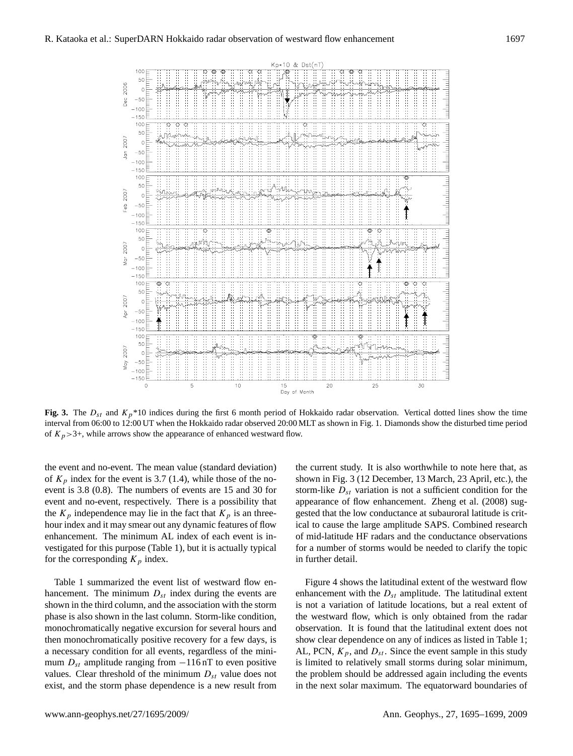

**Fig. 3.** The  $D_{st}$  and  $K_p*10$  indices during the first 6 month period of Hokkaido radar observation. Vertical dotted lines show the time interval from 06:00 to 12:00 UT when the Hokkaido radar observed 20:00 MLT as shown in Fig. 1. Diamonds show the disturbed time period of  $K_p$ >3+, while arrows show the appearance of enhanced westward flow.

the event and no-event. The mean value (standard deviation) of  $K_p$  index for the event is 3.7 (1.4), while those of the noevent is 3.8 (0.8). The numbers of events are 15 and 30 for event and no-event, respectively. There is a possibility that the  $K_p$  independence may lie in the fact that  $K_p$  is an threehour index and it may smear out any dynamic features of flow enhancement. The minimum AL index of each event is investigated for this purpose (Table 1), but it is actually typical for the corresponding  $K_p$  index.

Table 1 summarized the event list of westward flow enhancement. The minimum  $D_{st}$  index during the events are shown in the third column, and the association with the storm phase is also shown in the last column. Storm-like condition, monochromatically negative excursion for several hours and then monochromatically positive recovery for a few days, is a necessary condition for all events, regardless of the minimum  $D_{st}$  amplitude ranging from  $-116$  nT to even positive values. Clear threshold of the minimum  $D_{st}$  value does not exist, and the storm phase dependence is a new result from the current study. It is also worthwhile to note here that, as shown in Fig. 3 (12 December, 13 March, 23 April, etc.), the storm-like  $D_{st}$  variation is not a sufficient condition for the appearance of flow enhancement. Zheng et al. (2008) suggested that the low conductance at subauroral latitude is critical to cause the large amplitude SAPS. Combined research of mid-latitude HF radars and the conductance observations for a number of storms would be needed to clarify the topic in further detail.

Figure 4 shows the latitudinal extent of the westward flow enhancement with the  $D_{st}$  amplitude. The latitudinal extent is not a variation of latitude locations, but a real extent of the westward flow, which is only obtained from the radar observation. It is found that the latitudinal extent does not show clear dependence on any of indices as listed in Table 1; AL, PCN,  $K_p$ , and  $D_{st}$ . Since the event sample in this study is limited to relatively small storms during solar minimum, the problem should be addressed again including the events in the next solar maximum. The equatorward boundaries of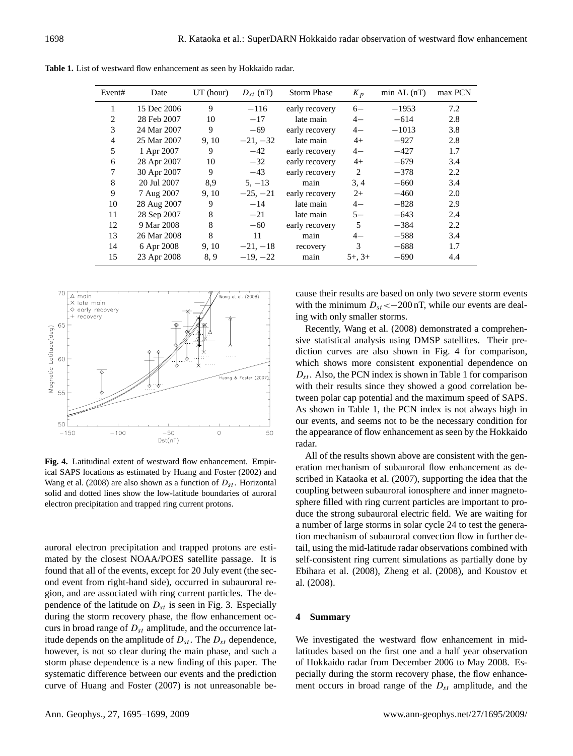| Event# | Date        | $UT$ (hour) | $D_{st}$ (nT) | <b>Storm Phase</b> | $K_p$       | $min$ AL $(nT)$ | max PCN |
|--------|-------------|-------------|---------------|--------------------|-------------|-----------------|---------|
|        | 15 Dec 2006 | 9           | $-116$        | early recovery     | $6-$        | $-1953$         | 7.2     |
| 2      | 28 Feb 2007 | 10          | $-17$         | late main          | $4-$        | $-614$          | 2.8     |
| 3      | 24 Mar 2007 | 9           | $-69$         | early recovery     | $4-$        | $-1013$         | 3.8     |
| 4      | 25 Mar 2007 | 9, 10       | $-21, -32$    | late main          | $4+$        | $-927$          | 2.8     |
| 5      | 1 Apr 2007  | 9           | $-42$         | early recovery     | $4-$        | $-427$          | 1.7     |
| 6      | 28 Apr 2007 | 10          | $-32$         | early recovery     | $4+$        | $-679$          | 3.4     |
| 7      | 30 Apr 2007 | 9           | $-43$         | early recovery     | 2           | $-378$          | 2.2     |
| 8      | 20 Jul 2007 | 8,9         | $5, -13$      | main               | 3, 4        | $-660$          | 3.4     |
| 9      | 7 Aug 2007  | 9, 10       | $-25, -21$    | early recovery     | $2+$        | $-460$          | 2.0     |
| 10     | 28 Aug 2007 | 9           | $-14$         | late main          | $4-$        | $-828$          | 2.9     |
| 11     | 28 Sep 2007 | 8           | $-21$         | late main          | $5-$        | $-643$          | 2.4     |
| 12     | 9 Mar 2008  | 8           | $-60$         | early recovery     | 5           | $-384$          | 2.2     |
| 13     | 26 Mar 2008 | 8           | 11            | main               | $4-$        | $-588$          | 3.4     |
| 14     | 6 Apr 2008  | 9, 10       | $-21, -18$    | recovery           | 3           | $-688$          | 1.7     |
| 15     | 23 Apr 2008 | 8.9         | $-19, -22$    | main               | $5+$ , $3+$ | $-690$          | 4.4     |

**Table 1.** List of westward flow enhancement as seen by Hokkaido radar.



**Fig. 4.** Latitudinal extent of westward flow enhancement. Empirical SAPS locations as estimated by Huang and Foster (2002) and Wang et al. (2008) are also shown as a function of  $D_{st}$ . Horizontal solid and dotted lines show the low-latitude boundaries of auroral electron precipitation and trapped ring current protons.

auroral electron precipitation and trapped protons are estimated by the closest NOAA/POES satellite passage. It is found that all of the events, except for 20 July event (the second event from right-hand side), occurred in subauroral region, and are associated with ring current particles. The dependence of the latitude on  $D_{st}$  is seen in Fig. 3. Especially during the storm recovery phase, the flow enhancement occurs in broad range of  $D_{st}$  amplitude, and the occurrence latitude depends on the amplitude of  $D_{st}$ . The  $D_{st}$  dependence, however, is not so clear during the main phase, and such a storm phase dependence is a new finding of this paper. The systematic difference between our events and the prediction curve of Huang and Foster (2007) is not unreasonable because their results are based on only two severe storm events with the minimum  $D_{st} < -200$  nT, while our events are dealing with only smaller storms.

Recently, Wang et al. (2008) demonstrated a comprehensive statistical analysis using DMSP satellites. Their prediction curves are also shown in Fig. 4 for comparison, which shows more consistent exponential dependence on  $D_{st}$ . Also, the PCN index is shown in Table 1 for comparison with their results since they showed a good correlation between polar cap potential and the maximum speed of SAPS. As shown in Table 1, the PCN index is not always high in our events, and seems not to be the necessary condition for the appearance of flow enhancement as seen by the Hokkaido radar.

All of the results shown above are consistent with the generation mechanism of subauroral flow enhancement as described in Kataoka et al. (2007), supporting the idea that the coupling between subauroral ionosphere and inner magnetosphere filled with ring current particles are important to produce the strong subauroral electric field. We are waiting for a number of large storms in solar cycle 24 to test the generation mechanism of subauroral convection flow in further detail, using the mid-latitude radar observations combined with self-consistent ring current simulations as partially done by Ebihara et al. (2008), Zheng et al. (2008), and Koustov et al. (2008).

# **4 Summary**

We investigated the westward flow enhancement in midlatitudes based on the first one and a half year observation of Hokkaido radar from December 2006 to May 2008. Especially during the storm recovery phase, the flow enhancement occurs in broad range of the  $D_{st}$  amplitude, and the